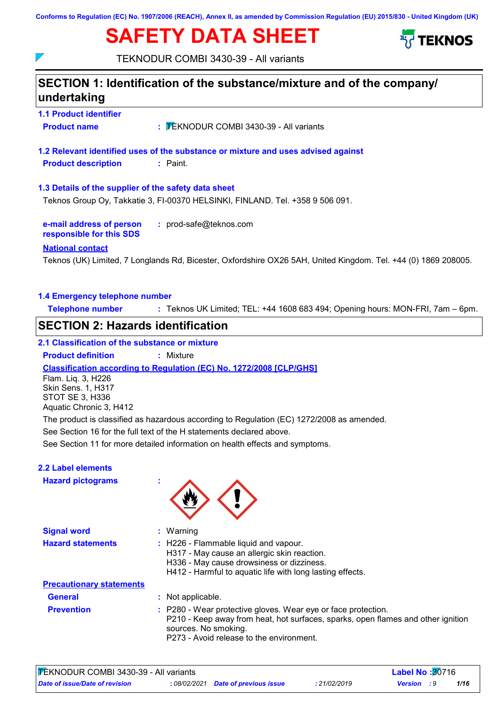**Conforms to Regulation (EC) No. 1907/2006 (REACH), Annex II, as amended by Commission Regulation (EU) 2015/830 - United Kingdom (UK)**

# **SAFETY DATA SHEET**



TEKNODUR COMBI 3430-39 - All variants

## **1.1 Product identifier 1.3 Details of the supplier of the safety data sheet e-mail address of person responsible for this SDS :** prod-safe@teknos.com **1.2 Relevant identified uses of the substance or mixture and uses advised against SECTION 1: Identification of the substance/mixture and of the company/ undertaking National contact 1.4 Emergency telephone number Telephone number :** Teknos UK Limited; TEL: +44 1608 683 494; Opening hours: MON-FRI, 7am – 6pm. **Product name <b>EXALL TEKNODUR COMBI 3430-39 - All variants Product description :** Paint. Teknos (UK) Limited, 7 Longlands Rd, Bicester, Oxfordshire OX26 5AH, United Kingdom. Tel. +44 (0) 1869 208005. Teknos Group Oy, Takkatie 3, FI-00370 HELSINKI, FINLAND. Tel. +358 9 506 091. See Section 11 for more detailed information on health effects and symptoms. **Classification according to Regulation (EC) No. 1272/2008 [CLP/GHS] SECTION 2: Hazards identification 2.1 Classification of the substance or mixture Product definition :** Mixture See Section 16 for the full text of the H statements declared above. **2.2 Label elements** Flam. Liq. 3, H226 Skin Sens. 1, H317 STOT SE 3, H336 Aquatic Chronic 3, H412 The product is classified as hazardous according to Regulation (EC) 1272/2008 as amended.

## **Hazard pictograms :**

 $\overline{\phantom{a}}$ 



| <b>Signal word</b>              | $:$ Warning                                                                                                                                                                                                           |
|---------------------------------|-----------------------------------------------------------------------------------------------------------------------------------------------------------------------------------------------------------------------|
| <b>Hazard statements</b>        | : H226 - Flammable liquid and vapour.<br>H317 - May cause an allergic skin reaction.<br>H336 - May cause drowsiness or dizziness.<br>H412 - Harmful to aquatic life with long lasting effects.                        |
| <b>Precautionary statements</b> |                                                                                                                                                                                                                       |
| <b>General</b>                  | : Not applicable.                                                                                                                                                                                                     |
| <b>Prevention</b>               | : P280 - Wear protective gloves. Wear eye or face protection.<br>P210 - Keep away from heat, hot surfaces, sparks, open flames and other ignition<br>sources. No smoking.<br>P273 - Avoid release to the environment. |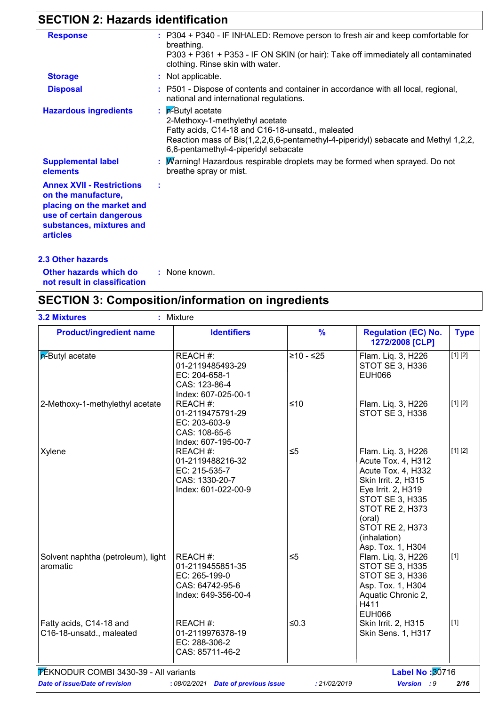## **SECTION 2: Hazards identification**

| <b>Response</b>                                                                                                                                                 | : P304 + P340 - IF INHALED: Remove person to fresh air and keep comfortable for                                                                                                                                                                  |
|-----------------------------------------------------------------------------------------------------------------------------------------------------------------|--------------------------------------------------------------------------------------------------------------------------------------------------------------------------------------------------------------------------------------------------|
|                                                                                                                                                                 | breathing.<br>P303 + P361 + P353 - IF ON SKIN (or hair): Take off immediately all contaminated<br>clothing. Rinse skin with water.                                                                                                               |
| <b>Storage</b>                                                                                                                                                  | : Not applicable.                                                                                                                                                                                                                                |
| <b>Disposal</b>                                                                                                                                                 | : P501 - Dispose of contents and container in accordance with all local, regional,<br>national and international regulations.                                                                                                                    |
| <b>Hazardous ingredients</b>                                                                                                                                    | $\mathbf{R}$ -Butyl acetate<br>2-Methoxy-1-methylethyl acetate<br>Fatty acids, C14-18 and C16-18-unsatd., maleated<br>Reaction mass of Bis(1,2,2,6,6-pentamethyl-4-piperidyl) sebacate and Methyl 1,2,2,<br>6,6-pentamethyl-4-piperidyl sebacate |
| <b>Supplemental label</b><br>elements                                                                                                                           | Warning! Hazardous respirable droplets may be formed when sprayed. Do not<br>breathe spray or mist.                                                                                                                                              |
| <b>Annex XVII - Restrictions</b><br>on the manufacture,<br>placing on the market and<br>use of certain dangerous<br>substances, mixtures and<br><b>articles</b> |                                                                                                                                                                                                                                                  |

**Other hazards which do : not result in classification** : None known.

**2.3 Other hazards**

## **SECTION 3: Composition/information on ingredients**

| <b>Product/ingredient name</b>                      | <b>Identifiers</b>                                                                      | $\frac{9}{6}$ | <b>Regulation (EC) No.</b><br>1272/2008 [CLP]                                                                                                                                                                                     | <b>Type</b> |
|-----------------------------------------------------|-----------------------------------------------------------------------------------------|---------------|-----------------------------------------------------------------------------------------------------------------------------------------------------------------------------------------------------------------------------------|-------------|
| $\overline{p}$ -Butyl acetate                       | REACH #:<br>01-2119485493-29<br>EC: 204-658-1<br>CAS: 123-86-4<br>Index: 607-025-00-1   | $≥10 - ≤25$   | Flam. Liq. 3, H226<br>STOT SE 3, H336<br><b>EUH066</b>                                                                                                                                                                            | [1] [2]     |
| 2-Methoxy-1-methylethyl acetate                     | REACH #:<br>01-2119475791-29<br>EC: 203-603-9<br>CAS: 108-65-6<br>Index: 607-195-00-7   | ≤10           | Flam. Liq. 3, H226<br>STOT SE 3, H336                                                                                                                                                                                             | [1] [2]     |
| Xylene                                              | REACH#:<br>01-2119488216-32<br>EC: 215-535-7<br>CAS: 1330-20-7<br>Index: 601-022-00-9   | $\leq 5$      | Flam. Liq. 3, H226<br>Acute Tox. 4, H312<br>Acute Tox. 4, H332<br>Skin Irrit. 2, H315<br>Eye Irrit. 2, H319<br><b>STOT SE 3, H335</b><br>STOT RE 2, H373<br>(oral)<br><b>STOT RE 2, H373</b><br>(inhalation)<br>Asp. Tox. 1, H304 | [1] [2]     |
| Solvent naphtha (petroleum), light<br>aromatic      | REACH #:<br>01-2119455851-35<br>EC: 265-199-0<br>CAS: 64742-95-6<br>Index: 649-356-00-4 | $\leq 5$      | Flam. Liq. 3, H226<br>STOT SE 3, H335<br>STOT SE 3, H336<br>Asp. Tox. 1, H304<br>Aquatic Chronic 2,<br>H411<br><b>EUH066</b>                                                                                                      | $[1]$       |
| Fatty acids, C14-18 and<br>C16-18-unsatd., maleated | REACH #:<br>01-2119976378-19<br>EC: 288-306-2<br>CAS: 85711-46-2                        | $≤0.3$        | Skin Irrit. 2, H315<br><b>Skin Sens. 1, H317</b>                                                                                                                                                                                  | $[1]$       |
| TEKNODUR COMBI 3430-39 - All variants               |                                                                                         |               | <b>Label No: 30716</b>                                                                                                                                                                                                            |             |
| Date of issue/Date of revision                      | : 08/02/2021 Date of previous issue                                                     | : 21/02/2019  | <b>Version</b> : 9                                                                                                                                                                                                                | 2/16        |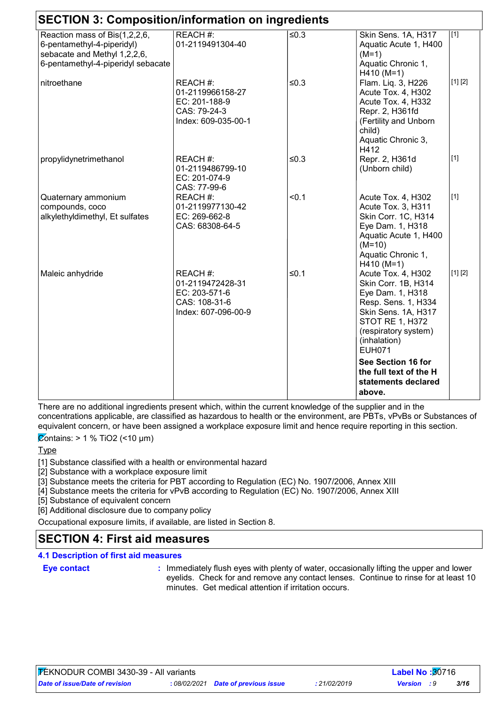| <b>SECTION 3: Composition/information on ingredients</b>                                                                          |                                                                                       |         |                                                                                                                                                                                                |                  |
|-----------------------------------------------------------------------------------------------------------------------------------|---------------------------------------------------------------------------------------|---------|------------------------------------------------------------------------------------------------------------------------------------------------------------------------------------------------|------------------|
| Reaction mass of Bis(1,2,2,6,<br>6-pentamethyl-4-piperidyl)<br>sebacate and Methyl 1,2,2,6,<br>6-pentamethyl-4-piperidyl sebacate | REACH #:<br>01-2119491304-40                                                          | ≤ $0.3$ | Skin Sens. 1A, H317<br>Aquatic Acute 1, H400<br>$(M=1)$<br>Aquatic Chronic 1,<br>$H410 (M=1)$                                                                                                  | $\overline{[1]}$ |
| nitroethane                                                                                                                       | REACH#:<br>01-2119966158-27<br>EC: 201-188-9<br>CAS: 79-24-3<br>Index: 609-035-00-1   | $≤0.3$  | Flam. Liq. 3, H226<br>Acute Tox. 4, H302<br>Acute Tox. 4, H332<br>Repr. 2, H361fd<br>(Fertility and Unborn<br>child)<br>Aquatic Chronic 3,<br>H412                                             | [1] [2]          |
| propylidynetrimethanol                                                                                                            | REACH #:<br>01-2119486799-10<br>EC: 201-074-9<br>CAS: 77-99-6                         | $≤0.3$  | Repr. 2, H361d<br>(Unborn child)                                                                                                                                                               | $[1]$            |
| Quaternary ammonium<br>compounds, coco<br>alkylethyldimethyl, Et sulfates                                                         | REACH #:<br>01-2119977130-42<br>EC: 269-662-8<br>CAS: 68308-64-5                      | < 0.1   | Acute Tox. 4, H302<br>Acute Tox. 3, H311<br>Skin Corr. 1C, H314<br>Eye Dam. 1, H318<br>Aquatic Acute 1, H400<br>$(M=10)$<br>Aquatic Chronic 1,<br>$H410 (M=1)$                                 | $[1]$            |
| Maleic anhydride                                                                                                                  | REACH #:<br>01-2119472428-31<br>EC: 203-571-6<br>CAS: 108-31-6<br>Index: 607-096-00-9 | ≤0.1    | Acute Tox. 4, H302<br>Skin Corr. 1B, H314<br>Eye Dam. 1, H318<br>Resp. Sens. 1, H334<br>Skin Sens. 1A, H317<br><b>STOT RE 1, H372</b><br>(respiratory system)<br>(inhalation)<br><b>EUH071</b> | [1] [2]          |
|                                                                                                                                   |                                                                                       |         | See Section 16 for<br>the full text of the H<br>statements declared<br>above.                                                                                                                  |                  |

There are no additional ingredients present which, within the current knowledge of the supplier and in the concentrations applicable, are classified as hazardous to health or the environment, are PBTs, vPvBs or Substances of equivalent concern, or have been assigned a workplace exposure limit and hence require reporting in this section.

 $\overline{\mathcal{Q}}$ ontains: > 1 % TiO2 (<10 µm)

**Type** 

[1] Substance classified with a health or environmental hazard

[2] Substance with a workplace exposure limit

[3] Substance meets the criteria for PBT according to Regulation (EC) No. 1907/2006, Annex XIII

[4] Substance meets the criteria for vPvB according to Regulation (EC) No. 1907/2006, Annex XIII

[5] Substance of equivalent concern

[6] Additional disclosure due to company policy

Occupational exposure limits, if available, are listed in Section 8.

## **SECTION 4: First aid measures**

## **4.1 Description of first aid measures**

#### **Eye contact :**

: Immediately flush eyes with plenty of water, occasionally lifting the upper and lower eyelids. Check for and remove any contact lenses. Continue to rinse for at least 10 minutes. Get medical attention if irritation occurs.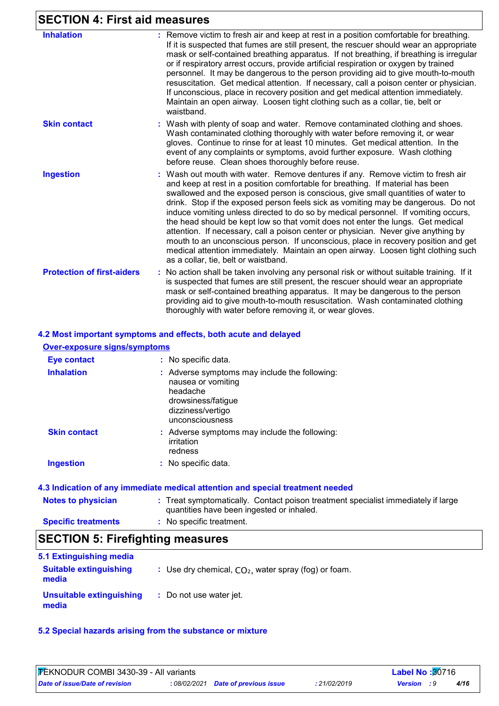## **SECTION 4: First aid measures**

| <b>Inhalation</b>                 | : Remove victim to fresh air and keep at rest in a position comfortable for breathing.<br>If it is suspected that fumes are still present, the rescuer should wear an appropriate<br>mask or self-contained breathing apparatus. If not breathing, if breathing is irregular<br>or if respiratory arrest occurs, provide artificial respiration or oxygen by trained<br>personnel. It may be dangerous to the person providing aid to give mouth-to-mouth<br>resuscitation. Get medical attention. If necessary, call a poison center or physician.<br>If unconscious, place in recovery position and get medical attention immediately.<br>Maintain an open airway. Loosen tight clothing such as a collar, tie, belt or<br>waistband.                                                                                       |
|-----------------------------------|-------------------------------------------------------------------------------------------------------------------------------------------------------------------------------------------------------------------------------------------------------------------------------------------------------------------------------------------------------------------------------------------------------------------------------------------------------------------------------------------------------------------------------------------------------------------------------------------------------------------------------------------------------------------------------------------------------------------------------------------------------------------------------------------------------------------------------|
| <b>Skin contact</b>               | : Wash with plenty of soap and water. Remove contaminated clothing and shoes.<br>Wash contaminated clothing thoroughly with water before removing it, or wear<br>gloves. Continue to rinse for at least 10 minutes. Get medical attention. In the<br>event of any complaints or symptoms, avoid further exposure. Wash clothing<br>before reuse. Clean shoes thoroughly before reuse.                                                                                                                                                                                                                                                                                                                                                                                                                                         |
| <b>Ingestion</b>                  | : Wash out mouth with water. Remove dentures if any. Remove victim to fresh air<br>and keep at rest in a position comfortable for breathing. If material has been<br>swallowed and the exposed person is conscious, give small quantities of water to<br>drink. Stop if the exposed person feels sick as vomiting may be dangerous. Do not<br>induce vomiting unless directed to do so by medical personnel. If vomiting occurs,<br>the head should be kept low so that vomit does not enter the lungs. Get medical<br>attention. If necessary, call a poison center or physician. Never give anything by<br>mouth to an unconscious person. If unconscious, place in recovery position and get<br>medical attention immediately. Maintain an open airway. Loosen tight clothing such<br>as a collar, tie, belt or waistband. |
| <b>Protection of first-aiders</b> | : No action shall be taken involving any personal risk or without suitable training. If it<br>is suspected that fumes are still present, the rescuer should wear an appropriate<br>mask or self-contained breathing apparatus. It may be dangerous to the person<br>providing aid to give mouth-to-mouth resuscitation. Wash contaminated clothing<br>thoroughly with water before removing it, or wear gloves.                                                                                                                                                                                                                                                                                                                                                                                                               |

## **4.2 Most important symptoms and effects, both acute and delayed**

| <b>Over-exposure signs/symptoms</b> |                                                                                                                                               |
|-------------------------------------|-----------------------------------------------------------------------------------------------------------------------------------------------|
| <b>Eye contact</b>                  | : No specific data.                                                                                                                           |
| <b>Inhalation</b>                   | : Adverse symptoms may include the following:<br>nausea or vomiting<br>headache<br>drowsiness/fatigue<br>dizziness/vertigo<br>unconsciousness |
| <b>Skin contact</b>                 | : Adverse symptoms may include the following:<br>irritation<br>redness                                                                        |
| <b>Ingestion</b>                    | : No specific data.                                                                                                                           |

## **4.3 Indication of any immediate medical attention and special treatment needed**

| <b>Notes to physician</b>  | : Treat symptomatically. Contact poison treatment specialist immediately if large |
|----------------------------|-----------------------------------------------------------------------------------|
|                            | quantities have been ingested or inhaled.                                         |
| <b>Specific treatments</b> | No specific treatment.                                                            |

## **SECTION 5: Firefighting measures**

| 5.1 Extinguishing media                |                                                        |
|----------------------------------------|--------------------------------------------------------|
| <b>Suitable extinguishing</b><br>media | : Use dry chemical, $CO2$ , water spray (fog) or foam. |
| Unsuitable extinguishing<br>media      | : Do not use water jet.                                |

#### **5.2 Special hazards arising from the substance or mixture**

| FEKNODUR COMBI 3430-39 - All variants |  |                                     | <b>Label No:</b> 30716 |                    |  |      |
|---------------------------------------|--|-------------------------------------|------------------------|--------------------|--|------|
| Date of issue/Date of revision        |  | : 08/02/2021 Date of previous issue | 21/02/2019             | <b>Version</b> : 9 |  | 4/16 |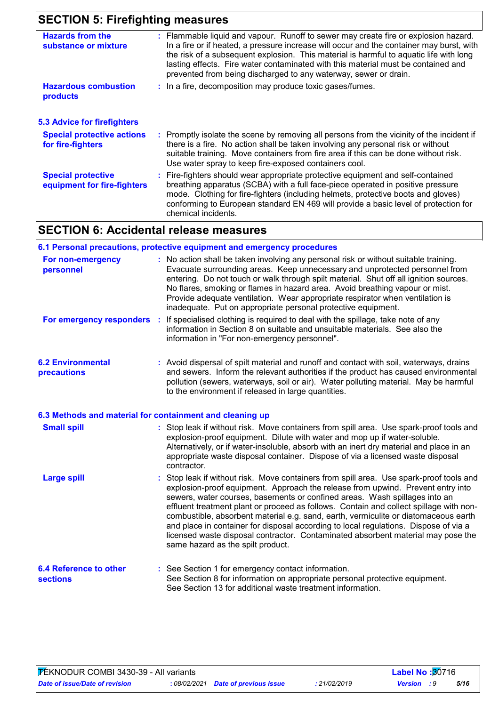## **SECTION 5: Firefighting measures**

| <b>Hazards from the</b><br>substance or mixture          | : Flammable liquid and vapour. Runoff to sewer may create fire or explosion hazard.<br>In a fire or if heated, a pressure increase will occur and the container may burst, with<br>the risk of a subsequent explosion. This material is harmful to aquatic life with long<br>lasting effects. Fire water contaminated with this material must be contained and<br>prevented from being discharged to any waterway, sewer or drain. |
|----------------------------------------------------------|------------------------------------------------------------------------------------------------------------------------------------------------------------------------------------------------------------------------------------------------------------------------------------------------------------------------------------------------------------------------------------------------------------------------------------|
| <b>Hazardous combustion</b><br><b>products</b>           | : In a fire, decomposition may produce toxic gases/fumes.                                                                                                                                                                                                                                                                                                                                                                          |
| <b>5.3 Advice for firefighters</b>                       |                                                                                                                                                                                                                                                                                                                                                                                                                                    |
| <b>Special protective actions</b><br>for fire-fighters   | : Promptly isolate the scene by removing all persons from the vicinity of the incident if<br>there is a fire. No action shall be taken involving any personal risk or without<br>suitable training. Move containers from fire area if this can be done without risk.<br>Use water spray to keep fire-exposed containers cool.                                                                                                      |
| <b>Special protective</b><br>equipment for fire-fighters | : Fire-fighters should wear appropriate protective equipment and self-contained<br>breathing apparatus (SCBA) with a full face-piece operated in positive pressure<br>mode. Clothing for fire-fighters (including helmets, protective boots and gloves)<br>conforming to European standard EN 469 will provide a basic level of protection for<br>chemical incidents.                                                              |

## **SECTION 6: Accidental release measures**

|                                                  | 6.1 Personal precautions, protective equipment and emergency procedures                                                                                                                                                                                                                                                                                                                                                                                                                                                                                                                                                                                    |
|--------------------------------------------------|------------------------------------------------------------------------------------------------------------------------------------------------------------------------------------------------------------------------------------------------------------------------------------------------------------------------------------------------------------------------------------------------------------------------------------------------------------------------------------------------------------------------------------------------------------------------------------------------------------------------------------------------------------|
| For non-emergency<br>personnel                   | : No action shall be taken involving any personal risk or without suitable training.<br>Evacuate surrounding areas. Keep unnecessary and unprotected personnel from<br>entering. Do not touch or walk through spilt material. Shut off all ignition sources.<br>No flares, smoking or flames in hazard area. Avoid breathing vapour or mist.<br>Provide adequate ventilation. Wear appropriate respirator when ventilation is<br>inadequate. Put on appropriate personal protective equipment.                                                                                                                                                             |
| For emergency responders                         | If specialised clothing is required to deal with the spillage, take note of any<br>÷<br>information in Section 8 on suitable and unsuitable materials. See also the<br>information in "For non-emergency personnel".                                                                                                                                                                                                                                                                                                                                                                                                                                       |
| <b>6.2 Environmental</b><br>precautions          | : Avoid dispersal of spilt material and runoff and contact with soil, waterways, drains<br>and sewers. Inform the relevant authorities if the product has caused environmental<br>pollution (sewers, waterways, soil or air). Water polluting material. May be harmful<br>to the environment if released in large quantities.                                                                                                                                                                                                                                                                                                                              |
|                                                  | 6.3 Methods and material for containment and cleaning up                                                                                                                                                                                                                                                                                                                                                                                                                                                                                                                                                                                                   |
| <b>Small spill</b>                               | : Stop leak if without risk. Move containers from spill area. Use spark-proof tools and<br>explosion-proof equipment. Dilute with water and mop up if water-soluble.<br>Alternatively, or if water-insoluble, absorb with an inert dry material and place in an<br>appropriate waste disposal container. Dispose of via a licensed waste disposal<br>contractor.                                                                                                                                                                                                                                                                                           |
| <b>Large spill</b>                               | : Stop leak if without risk. Move containers from spill area. Use spark-proof tools and<br>explosion-proof equipment. Approach the release from upwind. Prevent entry into<br>sewers, water courses, basements or confined areas. Wash spillages into an<br>effluent treatment plant or proceed as follows. Contain and collect spillage with non-<br>combustible, absorbent material e.g. sand, earth, vermiculite or diatomaceous earth<br>and place in container for disposal according to local regulations. Dispose of via a<br>licensed waste disposal contractor. Contaminated absorbent material may pose the<br>same hazard as the spilt product. |
| <b>6.4 Reference to other</b><br><b>sections</b> | : See Section 1 for emergency contact information.<br>See Section 8 for information on appropriate personal protective equipment.<br>See Section 13 for additional waste treatment information.                                                                                                                                                                                                                                                                                                                                                                                                                                                            |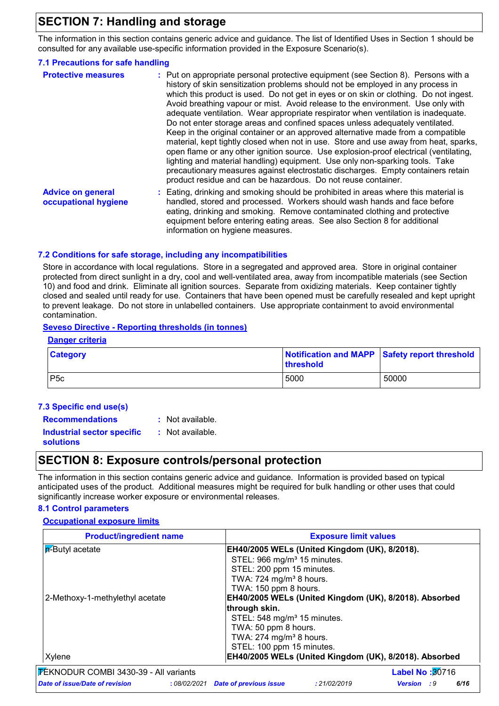## **SECTION 7: Handling and storage**

The information in this section contains generic advice and guidance. The list of Identified Uses in Section 1 should be consulted for any available use-specific information provided in the Exposure Scenario(s).

## **7.1 Precautions for safe handling**

| <b>Protective measures</b>                       | : Put on appropriate personal protective equipment (see Section 8). Persons with a<br>history of skin sensitization problems should not be employed in any process in<br>which this product is used. Do not get in eyes or on skin or clothing. Do not ingest.<br>Avoid breathing vapour or mist. Avoid release to the environment. Use only with<br>adequate ventilation. Wear appropriate respirator when ventilation is inadequate.<br>Do not enter storage areas and confined spaces unless adequately ventilated.<br>Keep in the original container or an approved alternative made from a compatible<br>material, kept tightly closed when not in use. Store and use away from heat, sparks,<br>open flame or any other ignition source. Use explosion-proof electrical (ventilating,<br>lighting and material handling) equipment. Use only non-sparking tools. Take<br>precautionary measures against electrostatic discharges. Empty containers retain<br>product residue and can be hazardous. Do not reuse container. |
|--------------------------------------------------|----------------------------------------------------------------------------------------------------------------------------------------------------------------------------------------------------------------------------------------------------------------------------------------------------------------------------------------------------------------------------------------------------------------------------------------------------------------------------------------------------------------------------------------------------------------------------------------------------------------------------------------------------------------------------------------------------------------------------------------------------------------------------------------------------------------------------------------------------------------------------------------------------------------------------------------------------------------------------------------------------------------------------------|
| <b>Advice on general</b><br>occupational hygiene | : Eating, drinking and smoking should be prohibited in areas where this material is<br>handled, stored and processed. Workers should wash hands and face before<br>eating, drinking and smoking. Remove contaminated clothing and protective<br>equipment before entering eating areas. See also Section 8 for additional<br>information on hygiene measures.                                                                                                                                                                                                                                                                                                                                                                                                                                                                                                                                                                                                                                                                    |

## **7.2 Conditions for safe storage, including any incompatibilities**

Store in accordance with local regulations. Store in a segregated and approved area. Store in original container protected from direct sunlight in a dry, cool and well-ventilated area, away from incompatible materials (see Section 10) and food and drink. Eliminate all ignition sources. Separate from oxidizing materials. Keep container tightly closed and sealed until ready for use. Containers that have been opened must be carefully resealed and kept upright to prevent leakage. Do not store in unlabelled containers. Use appropriate containment to avoid environmental contamination.

## **Seveso Directive - Reporting thresholds (in tonnes)**

| Danger criteria |                                                            |       |  |  |  |
|-----------------|------------------------------------------------------------|-------|--|--|--|
| <b>Category</b> | Notification and MAPP Safety report threshold<br>threshold |       |  |  |  |
| P <sub>5c</sub> | 5000                                                       | 50000 |  |  |  |

#### **7.3 Specific end use(s)**

| <b>Recommendations</b>                         | : Not available.   |
|------------------------------------------------|--------------------|
| <b>Industrial sector specific</b><br>solutions | $:$ Not available. |

## **SECTION 8: Exposure controls/personal protection**

The information in this section contains generic advice and guidance. Information is provided based on typical anticipated uses of the product. Additional measures might be required for bulk handling or other uses that could significantly increase worker exposure or environmental releases.

## **8.1 Control parameters**

#### **Occupational exposure limits**

| <b>Product/ingredient name</b>                 | <b>Exposure limit values</b>                                                |
|------------------------------------------------|-----------------------------------------------------------------------------|
| <b>P</b> -Butyl acetate                        | EH40/2005 WELs (United Kingdom (UK), 8/2018).                               |
|                                                | STEL: 966 mg/m <sup>3</sup> 15 minutes.                                     |
|                                                | STEL: 200 ppm 15 minutes.                                                   |
|                                                | TWA: $724$ mg/m <sup>3</sup> 8 hours.                                       |
|                                                | TWA: 150 ppm 8 hours.                                                       |
| 2-Methoxy-1-methylethyl acetate                | EH40/2005 WELs (United Kingdom (UK), 8/2018). Absorbed                      |
|                                                | through skin.                                                               |
|                                                | STEL: 548 mg/m <sup>3</sup> 15 minutes.                                     |
|                                                | TWA: 50 ppm 8 hours.                                                        |
|                                                | TWA: 274 mg/m <sup>3</sup> 8 hours.                                         |
|                                                | STEL: 100 ppm 15 minutes.                                                   |
| Xylene                                         | EH40/2005 WELs (United Kingdom (UK), 8/2018). Absorbed                      |
| FÉKNODUR COMBI 3430-39 - All variants          | <b>Label No: 30716</b>                                                      |
| Date of issue/Date of revision<br>: 08/02/2021 | <b>Date of previous issue</b><br>6/16<br>: 21/02/2019<br><b>Version</b> : 9 |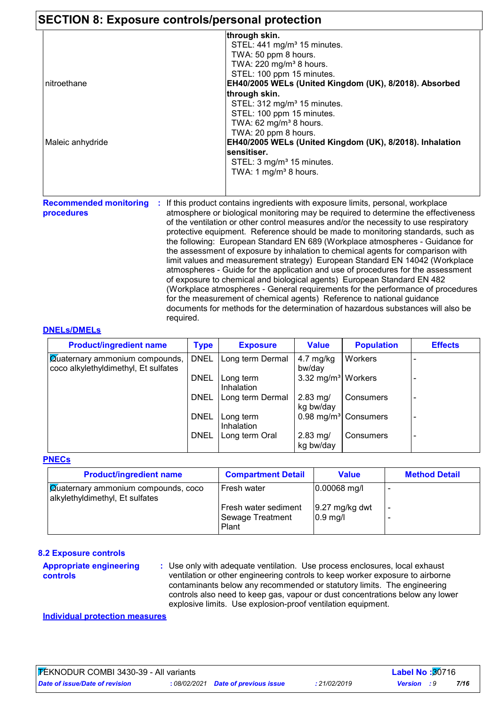## **SECTION 8: Exposure controls/personal protection**

|                  | through skin.                                            |
|------------------|----------------------------------------------------------|
|                  | STEL: 441 mg/m <sup>3</sup> 15 minutes.                  |
|                  | TWA: 50 ppm 8 hours.                                     |
|                  | TWA: 220 mg/m <sup>3</sup> 8 hours.                      |
|                  | STEL: 100 ppm 15 minutes.                                |
| nitroethane      | EH40/2005 WELs (United Kingdom (UK), 8/2018). Absorbed   |
|                  | through skin.                                            |
|                  | STEL: 312 mg/m <sup>3</sup> 15 minutes.                  |
|                  | STEL: 100 ppm 15 minutes.                                |
|                  | TWA: $62 \text{ mg/m}^3$ 8 hours.                        |
|                  | TWA: 20 ppm 8 hours.                                     |
| Maleic anhydride | EH40/2005 WELs (United Kingdom (UK), 8/2018). Inhalation |
|                  | <b>sensitiser.</b>                                       |
|                  | STEL: 3 mg/m <sup>3</sup> 15 minutes.                    |
|                  | TWA: 1 mg/m <sup>3</sup> 8 hours.                        |
|                  |                                                          |
|                  |                                                          |

**procedures**

**Recommended monitoring : If this product contains ingredients with exposure limits, personal, workplace** atmosphere or biological monitoring may be required to determine the effectiveness of the ventilation or other control measures and/or the necessity to use respiratory protective equipment. Reference should be made to monitoring standards, such as the following: European Standard EN 689 (Workplace atmospheres - Guidance for the assessment of exposure by inhalation to chemical agents for comparison with limit values and measurement strategy) European Standard EN 14042 (Workplace atmospheres - Guide for the application and use of procedures for the assessment of exposure to chemical and biological agents) European Standard EN 482 (Workplace atmospheres - General requirements for the performance of procedures for the measurement of chemical agents) Reference to national guidance documents for methods for the determination of hazardous substances will also be required.

## **DNELs/DMELs**

| <b>Product/ingredient name</b>                                                | <b>Type</b> | <b>Exposure</b>         | <b>Value</b>                     | <b>Population</b>               | <b>Effects</b>           |
|-------------------------------------------------------------------------------|-------------|-------------------------|----------------------------------|---------------------------------|--------------------------|
| <b>Quaternary ammonium compounds,</b><br>coco alkylethyldimethyl, Et sulfates | <b>DNEL</b> | Long term Dermal        | 4.7 mg/kg<br>bw/day              | Workers                         |                          |
|                                                                               | <b>DNEL</b> | Long term<br>Inhalation | 3.32 mg/m <sup>3</sup>   Workers |                                 |                          |
|                                                                               | <b>DNEL</b> | Long term Dermal        | $2.83$ mg/<br>kg bw/day          | Consumers                       | $\overline{\phantom{a}}$ |
|                                                                               | <b>DNEL</b> | Long term<br>Inhalation |                                  | $0.98 \text{ mg/m}^3$ Consumers | $\overline{\phantom{0}}$ |
|                                                                               | <b>DNEL</b> | Long term Oral          | $2.83$ mg/<br>kg bw/day          | Consumers                       | $\overline{\phantom{0}}$ |

#### **PNECs**

| <b>Product/ingredient name</b>                                                | <b>Compartment Detail</b>                         | Value                         | <b>Method Detail</b> |
|-------------------------------------------------------------------------------|---------------------------------------------------|-------------------------------|----------------------|
| <b>Quaternary ammonium compounds, coco</b><br>alkylethyldimethyl, Et sulfates | Fresh water                                       | $ 0.00068 \text{ mg}/I$       |                      |
|                                                                               | Fresh water sediment<br>Sewage Treatment<br>Plant | $9.27$ mg/kg dwt<br>$0.9$ mg/ |                      |

#### **8.2 Exposure controls**

**Appropriate engineering controls**

**:** Use only with adequate ventilation. Use process enclosures, local exhaust ventilation or other engineering controls to keep worker exposure to airborne contaminants below any recommended or statutory limits. The engineering controls also need to keep gas, vapour or dust concentrations below any lower explosive limits. Use explosion-proof ventilation equipment.

**Individual protection measures**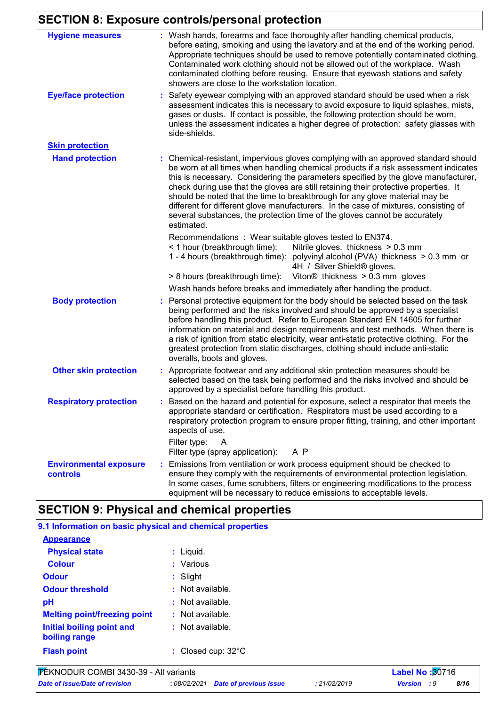# **SECTION 8: Exposure controls/personal protection**

| <b>Hygiene measures</b>                          | : Wash hands, forearms and face thoroughly after handling chemical products,<br>before eating, smoking and using the lavatory and at the end of the working period.<br>Appropriate techniques should be used to remove potentially contaminated clothing.<br>Contaminated work clothing should not be allowed out of the workplace. Wash<br>contaminated clothing before reusing. Ensure that eyewash stations and safety<br>showers are close to the workstation location.                                                                                                                                               |
|--------------------------------------------------|---------------------------------------------------------------------------------------------------------------------------------------------------------------------------------------------------------------------------------------------------------------------------------------------------------------------------------------------------------------------------------------------------------------------------------------------------------------------------------------------------------------------------------------------------------------------------------------------------------------------------|
| <b>Eye/face protection</b>                       | Safety eyewear complying with an approved standard should be used when a risk<br>assessment indicates this is necessary to avoid exposure to liquid splashes, mists,<br>gases or dusts. If contact is possible, the following protection should be worn,<br>unless the assessment indicates a higher degree of protection: safety glasses with<br>side-shields.                                                                                                                                                                                                                                                           |
| <b>Skin protection</b>                           |                                                                                                                                                                                                                                                                                                                                                                                                                                                                                                                                                                                                                           |
| <b>Hand protection</b>                           | : Chemical-resistant, impervious gloves complying with an approved standard should<br>be worn at all times when handling chemical products if a risk assessment indicates<br>this is necessary. Considering the parameters specified by the glove manufacturer,<br>check during use that the gloves are still retaining their protective properties. It<br>should be noted that the time to breakthrough for any glove material may be<br>different for different glove manufacturers. In the case of mixtures, consisting of<br>several substances, the protection time of the gloves cannot be accurately<br>estimated. |
|                                                  | Recommendations: Wear suitable gloves tested to EN374.<br>< 1 hour (breakthrough time):<br>Nitrile gloves. thickness > 0.3 mm<br>1 - 4 hours (breakthrough time): polyvinyl alcohol (PVA) thickness > 0.3 mm or<br>4H / Silver Shield® gloves.<br>Viton <sup>®</sup> thickness $> 0.3$ mm gloves<br>> 8 hours (breakthrough time):                                                                                                                                                                                                                                                                                        |
|                                                  | Wash hands before breaks and immediately after handling the product.                                                                                                                                                                                                                                                                                                                                                                                                                                                                                                                                                      |
| <b>Body protection</b>                           | Personal protective equipment for the body should be selected based on the task<br>being performed and the risks involved and should be approved by a specialist<br>before handling this product. Refer to European Standard EN 14605 for further<br>information on material and design requirements and test methods. When there is<br>a risk of ignition from static electricity, wear anti-static protective clothing. For the<br>greatest protection from static discharges, clothing should include anti-static<br>overalls, boots and gloves.                                                                       |
| <b>Other skin protection</b>                     | Appropriate footwear and any additional skin protection measures should be<br>selected based on the task being performed and the risks involved and should be<br>approved by a specialist before handling this product.                                                                                                                                                                                                                                                                                                                                                                                                   |
| <b>Respiratory protection</b>                    | Based on the hazard and potential for exposure, select a respirator that meets the<br>appropriate standard or certification. Respirators must be used according to a<br>respiratory protection program to ensure proper fitting, training, and other important<br>aspects of use.                                                                                                                                                                                                                                                                                                                                         |
|                                                  | Filter type:<br>A<br>Filter type (spray application):<br>A P                                                                                                                                                                                                                                                                                                                                                                                                                                                                                                                                                              |
| <b>Environmental exposure</b><br><b>controls</b> | Emissions from ventilation or work process equipment should be checked to<br>ensure they comply with the requirements of environmental protection legislation.<br>In some cases, fume scrubbers, filters or engineering modifications to the process<br>equipment will be necessary to reduce emissions to acceptable levels.                                                                                                                                                                                                                                                                                             |

## **SECTION 9: Physical and chemical properties**

| 9.1 Information on basic physical and chemical properties |                              |                        |
|-----------------------------------------------------------|------------------------------|------------------------|
| <b>Appearance</b>                                         |                              |                        |
| <b>Physical state</b>                                     | $:$ Liquid.                  |                        |
| <b>Colour</b>                                             | : Various                    |                        |
| <b>Odour</b>                                              | $:$ Slight                   |                        |
| <b>Odour threshold</b>                                    | $:$ Not available.           |                        |
| рH                                                        | $:$ Not available.           |                        |
| <b>Melting point/freezing point</b>                       | $:$ Not available.           |                        |
| Initial boiling point and<br>boiling range                | $:$ Not available.           |                        |
| <b>Flash point</b>                                        | : Closed cup: $32^{\circ}$ C |                        |
| FEKNODUR COMBI 3430-39 - All variants                     |                              | <b>Label No: 30716</b> |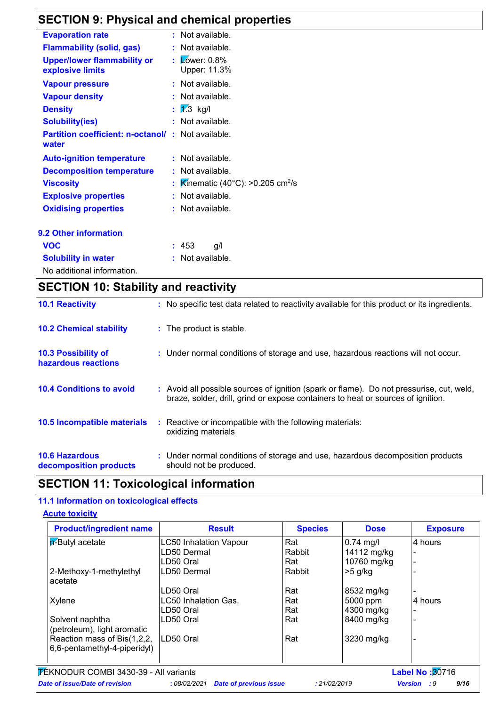## **SECTION 9: Physical and chemical properties**

| <b>Evaporation rate</b>                           | $:$ Not available.                                           |  |
|---------------------------------------------------|--------------------------------------------------------------|--|
| <b>Flammability (solid, gas)</b>                  | : Not available.                                             |  |
| <b>Upper/lower flammability or</b>                | $\mathsf{L}$ $\mathsf{\mathsf{Lower:}}$ 0.8%<br>Upper: 11.3% |  |
| explosive limits                                  |                                                              |  |
| <b>Vapour pressure</b>                            | : Not available.                                             |  |
| <b>Vapour density</b>                             | Not available.                                               |  |
| <b>Density</b>                                    | : $1/3$ kg/l                                                 |  |
| <b>Solubility(ies)</b>                            | : Not available.                                             |  |
| <b>Partition coefficient: n-octanol/</b><br>water | $:$ Not available.                                           |  |
| <b>Auto-ignition temperature</b>                  | : Not available.                                             |  |
| <b>Decomposition temperature</b>                  | : Not available.                                             |  |
| <b>Viscosity</b>                                  | Kinematic (40°C): >0.205 cm <sup>2</sup> /s                  |  |
| <b>Explosive properties</b>                       | Not available.                                               |  |
| <b>Oxidising properties</b>                       | : Not available.                                             |  |
| <b>9.2 Other information</b>                      |                                                              |  |
| <b>VOC</b>                                        | : 453<br>g/l                                                 |  |
| <b>Solubility in water</b>                        | Not available.                                               |  |
| No additional information.                        |                                                              |  |

| <b>SECTION 10: Stability and reactivity</b>       |                                                                                                                                                                              |  |  |  |
|---------------------------------------------------|------------------------------------------------------------------------------------------------------------------------------------------------------------------------------|--|--|--|
| <b>10.1 Reactivity</b>                            | : No specific test data related to reactivity available for this product or its ingredients.                                                                                 |  |  |  |
| <b>10.2 Chemical stability</b>                    | : The product is stable.                                                                                                                                                     |  |  |  |
| <b>10.3 Possibility of</b><br>hazardous reactions | : Under normal conditions of storage and use, hazardous reactions will not occur.                                                                                            |  |  |  |
| <b>10.4 Conditions to avoid</b>                   | : Avoid all possible sources of ignition (spark or flame). Do not pressurise, cut, weld,<br>braze, solder, drill, grind or expose containers to heat or sources of ignition. |  |  |  |
| 10.5 Incompatible materials                       | : Reactive or incompatible with the following materials:<br>oxidizing materials                                                                                              |  |  |  |
| <b>10.6 Hazardous</b><br>decomposition products   | : Under normal conditions of storage and use, hazardous decomposition products<br>should not be produced.                                                                    |  |  |  |

## **SECTION 11: Toxicological information**

## **11.1 Information on toxicological effects**

#### **Acute toxicity**

| <b>Product/ingredient name</b>                                  | <b>Result</b>                 | <b>Species</b> | <b>Dose</b> | <b>Exposure</b> |
|-----------------------------------------------------------------|-------------------------------|----------------|-------------|-----------------|
| <b>P</b> -Butyl acetate                                         | <b>LC50 Inhalation Vapour</b> | Rat            | $0.74$ mg/l | 4 hours         |
|                                                                 | LD50 Dermal                   | Rabbit         | 14112 mg/kg |                 |
|                                                                 | LD50 Oral                     | Rat            | 10760 mg/kg |                 |
| 2-Methoxy-1-methylethyl                                         | LD50 Dermal                   | Rabbit         | $>5$ g/kg   |                 |
| acetate                                                         |                               |                |             |                 |
|                                                                 | LD50 Oral                     | Rat            | 8532 mg/kg  |                 |
| Xylene                                                          | LC50 Inhalation Gas.          | Rat            | 5000 ppm    | 4 hours         |
|                                                                 | LD50 Oral                     | Rat            | 4300 mg/kg  |                 |
| Solvent naphtha                                                 | LD50 Oral                     | Rat            | 8400 mg/kg  |                 |
| (petroleum), light aromatic                                     |                               |                |             |                 |
| Reaction mass of Bis(1,2,2,                                     | ILD50 Oral                    | Rat            | 3230 mg/kg  |                 |
| 6,6-pentamethyl-4-piperidyl)                                    |                               |                |             |                 |
|                                                                 |                               |                |             |                 |
| FEKNODUR COMBI 3430-39 - All variants<br><b>Label No: 30716</b> |                               |                |             |                 |

*Date of issue/Date of revision* **:** *08/02/2021 Date of previous issue : 21/02/2019 Version : 9 9/16*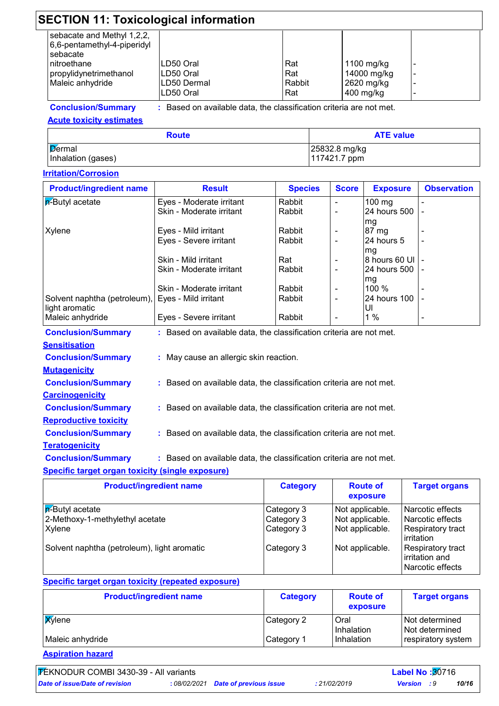| <b>SECTION 11: Toxicological information</b>                          |                          |               |                           |                               |  |  |
|-----------------------------------------------------------------------|--------------------------|---------------|---------------------------|-------------------------------|--|--|
| sebacate and Methyl 1,2,2,<br>6,6-pentamethyl-4-piperidyl<br>sebacate |                          |               |                           |                               |  |  |
| nitroethane<br>propylidynetrimethanol                                 | LD50 Oral<br>LD50 Oral   | Rat<br>Rat    | 1100 mg/kg<br>14000 mg/kg | $\overline{\phantom{a}}$<br>۰ |  |  |
| Maleic anhydride                                                      | LD50 Dermal<br>LD50 Oral | Rabbit<br>Rat | 2620 mg/kg<br>$400$ mg/kg |                               |  |  |

#### **Conclusion/Summary :**

: Based on available data, the classification criteria are not met.

#### **Acute toxicity estimates**

| <b>Route</b>                        | <b>ATE value</b>              |
|-------------------------------------|-------------------------------|
| <b>Dermal</b><br>Inhalation (gases) | 25832.8 mg/kg<br>117421.7 ppm |

## **Irritation/Corrosion**

| <b>Product/ingredient name</b>                                      | <b>Result</b>                                                       | <b>Species</b> | <b>Score</b>             | <b>Exposure</b>   | <b>Observation</b> |
|---------------------------------------------------------------------|---------------------------------------------------------------------|----------------|--------------------------|-------------------|--------------------|
| $p$ -Butyl acetate                                                  | Eyes - Moderate irritant                                            | Rabbit         |                          | $100$ mg          |                    |
|                                                                     | Skin - Moderate irritant                                            | Rabbit         | $\overline{\phantom{a}}$ | 24 hours 500      |                    |
|                                                                     |                                                                     |                |                          | mg                |                    |
| Xylene                                                              | Eyes - Mild irritant                                                | Rabbit         |                          | 87 mg             |                    |
|                                                                     | Eyes - Severe irritant                                              | Rabbit         | $\overline{\phantom{a}}$ | 24 hours 5        |                    |
|                                                                     |                                                                     |                |                          | mg                |                    |
|                                                                     | Skin - Mild irritant                                                | Rat            |                          | 8 hours 60 UI   - |                    |
|                                                                     | Skin - Moderate irritant                                            | Rabbit         |                          | 24 hours 500 l -  |                    |
|                                                                     |                                                                     |                |                          | mg                |                    |
|                                                                     | Skin - Moderate irritant                                            | Rabbit         |                          | 100 %             |                    |
| Solvent naphtha (petroleum), Eyes - Mild irritant                   |                                                                     | Rabbit         |                          | 24 hours 100      |                    |
| light aromatic                                                      |                                                                     |                |                          | UI                |                    |
| Maleic anhydride                                                    | Eyes - Severe irritant                                              | Rabbit         |                          | 1 $%$             |                    |
| <b>Conclusion/Summary</b>                                           | : Based on available data, the classification criteria are not met. |                |                          |                   |                    |
| <u>Sensitisation</u>                                                |                                                                     |                |                          |                   |                    |
| <b>Conclusion/Summary</b><br>: May cause an allergic skin reaction. |                                                                     |                |                          |                   |                    |
| <u>Mutaqenicity</u>                                                 |                                                                     |                |                          |                   |                    |
| <b>Conclusion/Summary</b>                                           | : Based on available data, the classification criteria are not met. |                |                          |                   |                    |
| <b>Carcinogenicity</b>                                              |                                                                     |                |                          |                   |                    |

- **Conclusion/Summary :** : Based on available data, the classification criteria are not met.
- **Conclusion/Summary :** : Based on available data, the classification criteria are not met.

#### **Conclusion/Summary :** : Based on available data, the classification criteria are not met.

#### **Specific target organ toxicity (single exposure)**

| <b>Product/ingredient name</b>              | <b>Category</b> | <b>Route of</b><br>exposure | <b>Target organs</b>                                    |
|---------------------------------------------|-----------------|-----------------------------|---------------------------------------------------------|
| In-Butyl acetate                            | Category 3      | Not applicable.             | Narcotic effects                                        |
| 2-Methoxy-1-methylethyl acetate             | Category 3      | Not applicable.             | Narcotic effects                                        |
| Xylene                                      | Category 3      | Not applicable.             | Respiratory tract<br>irritation                         |
| Solvent naphtha (petroleum), light aromatic | Category 3      | Not applicable.             | Respiratory tract<br>irritation and<br>Narcotic effects |

## **Specific target organ toxicity (repeated exposure)**

| <b>Product/ingredient name</b> | <b>Category</b> | <b>Route of</b><br>exposure | <b>Target organs</b>               |
|--------------------------------|-----------------|-----------------------------|------------------------------------|
| <b>X</b> ylene                 | Category 2      | Oral<br>Inhalation          | Not determined<br>l Not determined |
| Maleic anhydride               | Category 1      | Inhalation                  | respiratory system                 |

**Aspiration hazard**

**Teratogenicity**

**Reproductive toxicity**

**TEKNODUR COMBI 3430-39 - All variants Label No : 30716**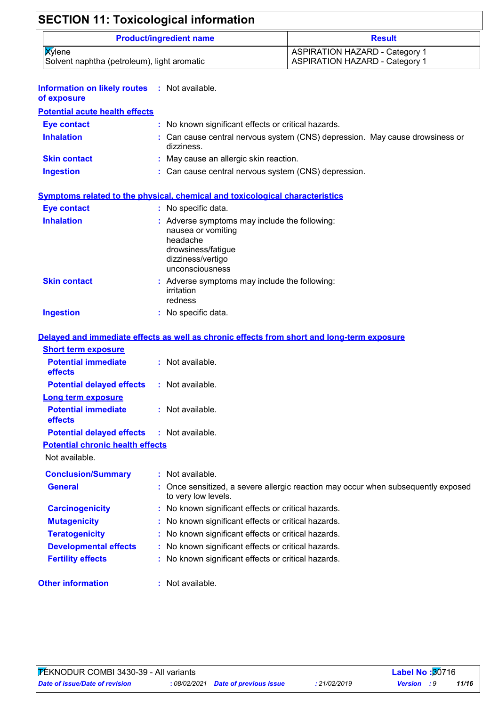## **SECTION 11: Toxicological information**

| <b>Product/ingredient name</b>                                | <b>Result</b>                                                                  |
|---------------------------------------------------------------|--------------------------------------------------------------------------------|
| <b>X</b> ylene<br>Solvent naphtha (petroleum), light aromatic | <b>ASPIRATION HAZARD - Category 1</b><br><b>ASPIRATION HAZARD - Category 1</b> |

| <b>Information on likely routes : Not available.</b><br>of exposure |                                                                                                                                                        |
|---------------------------------------------------------------------|--------------------------------------------------------------------------------------------------------------------------------------------------------|
| <b>Potential acute health effects</b>                               |                                                                                                                                                        |
| Eye contact                                                         | : No known significant effects or critical hazards.                                                                                                    |
| <b>Inhalation</b>                                                   | : Can cause central nervous system (CNS) depression. May cause drowsiness or<br>$di\rightarrow\rightarrow\rightarrow\rightarrow\rightarrow\rightarrow$ |

|                     | dizziness.                                           |
|---------------------|------------------------------------------------------|
| <b>Skin contact</b> | : May cause an allergic skin reaction.               |
| <b>Ingestion</b>    | : Can cause central nervous system (CNS) depression. |

## **Symptoms related to the physical, chemical and toxicological characteristics**

| <b>Eye contact</b>  | : No specific data.                                                                                                                           |
|---------------------|-----------------------------------------------------------------------------------------------------------------------------------------------|
| <b>Inhalation</b>   | : Adverse symptoms may include the following:<br>nausea or vomiting<br>headache<br>drowsiness/fatigue<br>dizziness/vertigo<br>unconsciousness |
| <b>Skin contact</b> | : Adverse symptoms may include the following:<br>irritation<br>redness                                                                        |
| <b>Ingestion</b>    | No specific data.                                                                                                                             |

## **Delayed and immediate effects as well as chronic effects from short and long-term exposure**

| <b>Short term exposure</b>                   |                                                                                                          |
|----------------------------------------------|----------------------------------------------------------------------------------------------------------|
| <b>Potential immediate</b><br><b>effects</b> | : Not available.                                                                                         |
| <b>Potential delayed effects</b>             | : Not available.                                                                                         |
| <b>Long term exposure</b>                    |                                                                                                          |
| <b>Potential immediate</b><br><b>effects</b> | $:$ Not available.                                                                                       |
| <b>Potential delayed effects</b>             | : Not available.                                                                                         |
| <b>Potential chronic health effects</b>      |                                                                                                          |
| Not available.                               |                                                                                                          |
| <b>Conclusion/Summary</b>                    | : Not available.                                                                                         |
| <b>General</b>                               | : Once sensitized, a severe allergic reaction may occur when subsequently exposed<br>to very low levels. |
| <b>Carcinogenicity</b>                       | : No known significant effects or critical hazards.                                                      |
| <b>Mutagenicity</b>                          | : No known significant effects or critical hazards.                                                      |
| <b>Teratogenicity</b>                        | : No known significant effects or critical hazards.                                                      |
| <b>Developmental effects</b>                 | : No known significant effects or critical hazards.                                                      |
| <b>Fertility effects</b>                     | : No known significant effects or critical hazards.                                                      |
| <b>Other information</b>                     | : Not available.                                                                                         |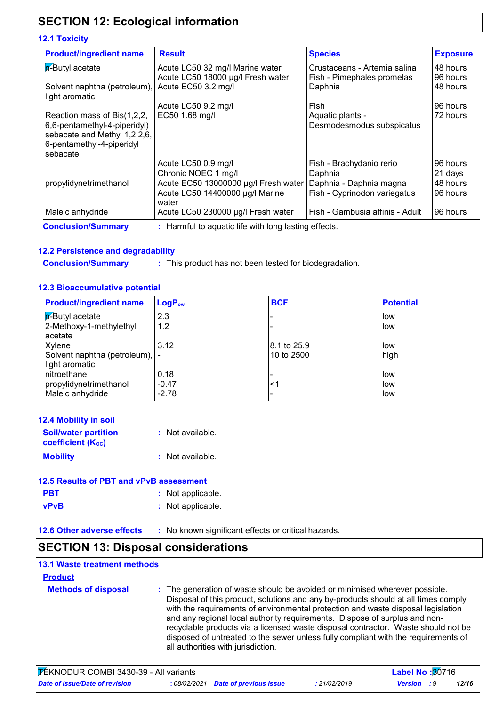## **SECTION 12: Ecological information**

#### **12.1 Toxicity**

| <b>Product/ingredient name</b>                 | <b>Result</b>                            | <b>Species</b>                  | <b>Exposure</b> |
|------------------------------------------------|------------------------------------------|---------------------------------|-----------------|
| <b>A-Butyl acetate</b>                         | Acute LC50 32 mg/l Marine water          | Crustaceans - Artemia salina    | 48 hours        |
|                                                | Acute LC50 18000 µg/l Fresh water        | Fish - Pimephales promelas      | 96 hours        |
| Solvent naphtha (petroleum),<br>light aromatic | Acute EC50 3.2 mg/l                      | Daphnia                         | 48 hours        |
|                                                | Acute LC50 9.2 mg/l                      | Fish                            | 96 hours        |
| Reaction mass of Bis(1,2,2,                    | EC50 1.68 mg/l                           | Aquatic plants -                | 72 hours        |
| 6,6-pentamethyl-4-piperidyl)                   |                                          | Desmodesmodus subspicatus       |                 |
| sebacate and Methyl 1,2,2,6,                   |                                          |                                 |                 |
| 6-pentamethyl-4-piperidyl                      |                                          |                                 |                 |
| sebacate                                       |                                          |                                 |                 |
|                                                | Acute LC50 0.9 mg/l                      | Fish - Brachydanio rerio        | 96 hours        |
|                                                | Chronic NOEC 1 mg/l                      | Daphnia                         | 21 days         |
| propylidynetrimethanol                         | Acute EC50 13000000 µg/l Fresh water     | Daphnia - Daphnia magna         | 48 hours        |
|                                                | Acute LC50 14400000 µg/l Marine<br>water | Fish - Cyprinodon variegatus    | 96 hours        |
| Maleic anhydride                               | Acute LC50 230000 µg/l Fresh water       | Fish - Gambusia affinis - Adult | 96 hours        |

#### **12.2 Persistence and degradability**

**Conclusion/Summary :**

: This product has not been tested for biodegradation.

#### **12.3 Bioaccumulative potential**

| <b>Product/ingredient name</b>                    | <b>LogP</b> <sub>ow</sub> | <b>BCF</b>  | <b>Potential</b> |
|---------------------------------------------------|---------------------------|-------------|------------------|
| <b>F</b> -Butyl acetate                           | 2.3                       |             | low              |
| 2-Methoxy-1-methylethyl                           | 1.2                       |             | low              |
| acetate                                           |                           |             |                  |
| Xylene                                            | 3.12                      | 8.1 to 25.9 | low              |
| Solvent naphtha (petroleum),  -<br>light aromatic |                           | 10 to 2500  | high             |
| nitroethane                                       | 0.18                      |             | low              |
| propylidynetrimethanol                            | $-0.47$                   | ≺1          | low              |
| Maleic anhydride                                  | $-2.78$                   |             | low              |

| <b>12.4 Mobility in soil</b>                            |                  |
|---------------------------------------------------------|------------------|
| <b>Soil/water partition</b><br><b>coefficient (Koc)</b> | : Not available. |
| <b>Mobility</b>                                         | : Not available. |

| 12.5 Results of PBT and vPvB assessment |                   |  |  |
|-----------------------------------------|-------------------|--|--|
| <b>PBT</b>                              | : Not applicable. |  |  |
| <b>vPvB</b>                             | : Not applicable. |  |  |

**12.6 Other adverse effects** : No known significant effects or critical hazards.

## **SECTION 13: Disposal considerations**

## **13.1 Waste treatment methods**

#### **Product**

**Methods of disposal :** The generation of waste should be avoided or minimised wherever possible. Disposal of this product, solutions and any by-products should at all times comply with the requirements of environmental protection and waste disposal legislation and any regional local authority requirements. Dispose of surplus and nonrecyclable products via a licensed waste disposal contractor. Waste should not be disposed of untreated to the sewer unless fully compliant with the requirements of all authorities with jurisdiction.

| <b>FEKNODUR COMBI 3430-39 - All variants</b> |  |                                     | <b>Label No: 30716</b> |                    |       |  |
|----------------------------------------------|--|-------------------------------------|------------------------|--------------------|-------|--|
| Date of issue/Date of revision               |  | : 08/02/2021 Date of previous issue | 21/02/2019             | <b>Version</b> : 9 | 12/16 |  |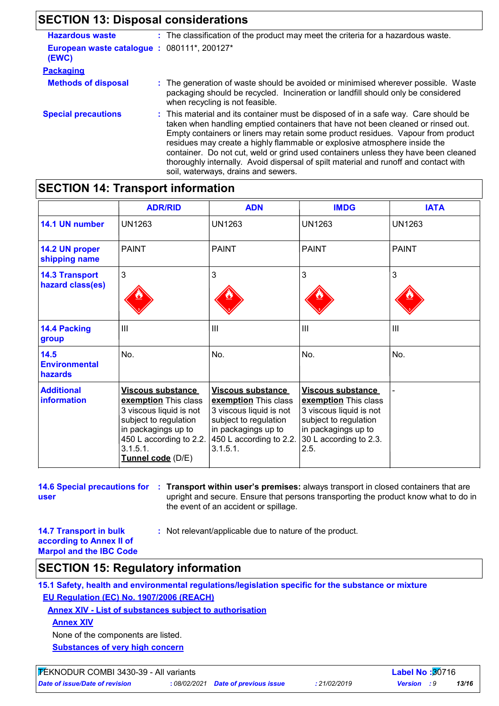## **SECTION 13: Disposal considerations**

| <b>Hazardous waste</b>                              | : The classification of the product may meet the criteria for a hazardous waste.                                                                                                                                                                                                                                                                                                                                                                                                                                                                              |
|-----------------------------------------------------|---------------------------------------------------------------------------------------------------------------------------------------------------------------------------------------------------------------------------------------------------------------------------------------------------------------------------------------------------------------------------------------------------------------------------------------------------------------------------------------------------------------------------------------------------------------|
| European waste catalogue: 080111*, 200127*<br>(EWC) |                                                                                                                                                                                                                                                                                                                                                                                                                                                                                                                                                               |
| <b>Packaging</b>                                    |                                                                                                                                                                                                                                                                                                                                                                                                                                                                                                                                                               |
| <b>Methods of disposal</b>                          | : The generation of waste should be avoided or minimised wherever possible. Waste<br>packaging should be recycled. Incineration or landfill should only be considered<br>when recycling is not feasible.                                                                                                                                                                                                                                                                                                                                                      |
| <b>Special precautions</b>                          | : This material and its container must be disposed of in a safe way. Care should be<br>taken when handling emptied containers that have not been cleaned or rinsed out.<br>Empty containers or liners may retain some product residues. Vapour from product<br>residues may create a highly flammable or explosive atmosphere inside the<br>container. Do not cut, weld or grind used containers unless they have been cleaned<br>thoroughly internally. Avoid dispersal of spilt material and runoff and contact with<br>soil, waterways, drains and sewers. |

## **SECTION 14: Transport information**

|                                           | <b>ADR/RID</b>                                                                                                                                                                   | <b>ADN</b>                                                                                                                                                  | <b>IMDG</b>                                                                                                                                            | <b>IATA</b>   |
|-------------------------------------------|----------------------------------------------------------------------------------------------------------------------------------------------------------------------------------|-------------------------------------------------------------------------------------------------------------------------------------------------------------|--------------------------------------------------------------------------------------------------------------------------------------------------------|---------------|
| 14.1 UN number                            | <b>UN1263</b>                                                                                                                                                                    | <b>UN1263</b>                                                                                                                                               | <b>UN1263</b>                                                                                                                                          | <b>UN1263</b> |
| 14.2 UN proper<br>shipping name           | <b>PAINT</b>                                                                                                                                                                     | <b>PAINT</b>                                                                                                                                                | <b>PAINT</b>                                                                                                                                           | <b>PAINT</b>  |
| <b>14.3 Transport</b><br>hazard class(es) | 3                                                                                                                                                                                | 3                                                                                                                                                           | 3                                                                                                                                                      | 3             |
| 14.4 Packing<br>group                     | III                                                                                                                                                                              | $\mathbf{III}$                                                                                                                                              | III                                                                                                                                                    | Ш             |
| 14.5<br><b>Environmental</b><br>hazards   | No.                                                                                                                                                                              | No.                                                                                                                                                         | No.                                                                                                                                                    | No.           |
| <b>Additional</b><br>information          | Viscous substance<br>exemption This class<br>3 viscous liquid is not<br>subject to regulation<br>in packagings up to<br>450 L according to 2.2.<br>3.1.5.1.<br>Tunnel code (D/E) | Viscous substance<br>exemption This class<br>3 viscous liquid is not<br>subject to regulation<br>in packagings up to<br>450 L according to 2.2.<br>3.1.5.1. | Viscous substance<br>exemption This class<br>3 viscous liquid is not<br>subject to regulation<br>in packagings up to<br>30 L according to 2.3.<br>2.5. |               |

**14.6 Special precautions for : Transport within user's premises:** always transport in closed containers that are **user** upright and secure. Ensure that persons transporting the product know what to do in the event of an accident or spillage.

**14.7 Transport in bulk according to Annex II of Marpol and the IBC Code** **:** Not relevant/applicable due to nature of the product.

## **SECTION 15: Regulatory information**

**15.1 Safety, health and environmental regulations/legislation specific for the substance or mixture EU Regulation (EC) No. 1907/2006 (REACH)**

**Annex XIV - List of substances subject to authorisation**

**Annex XIV**

None of the components are listed.

**Substances of very high concern**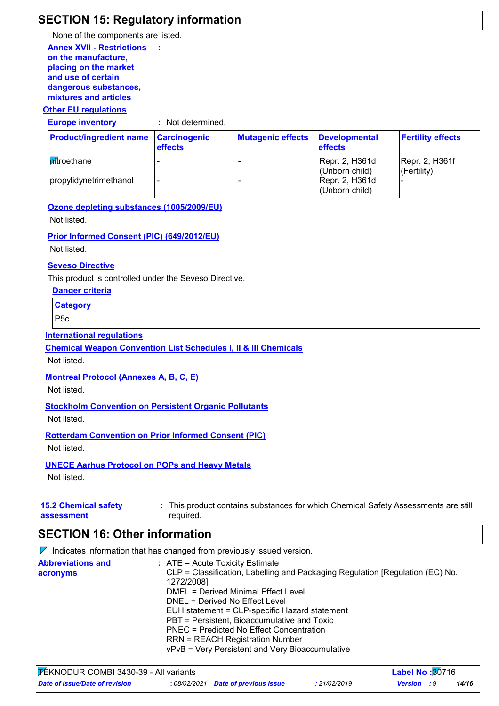## **SECTION 15: Regulatory information**

**Annex XVII - Restrictions on the manufacture, placing on the market and use of certain dangerous substances, mixtures and articles :** None of the components are listed.

#### **Other EU regulations**

**Europe inventory :** Not determined.

| <b>Product/ingredient name Carcinogenic</b> | <b>effects</b> | <b>Mutagenic effects</b> | <b>Developmental</b><br><b>effects</b> | <b>Fertility effects</b> |
|---------------------------------------------|----------------|--------------------------|----------------------------------------|--------------------------|
| <b>n</b> itroethane                         |                |                          | Repr. 2, H361d                         | Repr. 2, H361f           |
|                                             |                |                          | (Unborn child)                         | (Fertility)              |
| propylidynetrimethanol                      |                |                          | Repr. 2, H361d                         |                          |
|                                             |                |                          | (Unborn child)                         |                          |

**Ozone depleting substances (1005/2009/EU)**

Not listed.

#### **Prior Informed Consent (PIC) (649/2012/EU)**

Not listed.

#### **Seveso Directive**

This product is controlled under the Seveso Directive.

| Danger criteria |  |
|-----------------|--|
|                 |  |

**Category**

P5c

#### **International regulations**

**Chemical Weapon Convention List Schedules I, II & III Chemicals**

Not listed.

#### **Montreal Protocol (Annexes A, B, C, E)**

Not listed.

## **Stockholm Convention on Persistent Organic Pollutants**

Not listed.

#### **Rotterdam Convention on Prior Informed Consent (PIC)**

Not listed.

#### **UNECE Aarhus Protocol on POPs and Heavy Metals**

Not listed.

#### **15.2 Chemical safety assessment** This product contains substances for which Chemical Safety Assessments are still **:** required.

## **SECTION 16: Other information**

 $\nabla$  Indicates information that has changed from previously issued version.

| <b>Abbreviations and</b> | $\therefore$ ATE = Acute Toxicity Estimate                                    |
|--------------------------|-------------------------------------------------------------------------------|
| acronyms                 | CLP = Classification, Labelling and Packaging Regulation [Regulation (EC) No. |
|                          | 1272/2008]                                                                    |
|                          | DMEL = Derived Minimal Effect Level                                           |
|                          | DNEL = Derived No Effect Level                                                |
|                          | EUH statement = CLP-specific Hazard statement                                 |
|                          | PBT = Persistent, Bioaccumulative and Toxic                                   |
|                          | PNEC = Predicted No Effect Concentration                                      |
|                          | <b>RRN = REACH Registration Number</b>                                        |
|                          | vPvB = Very Persistent and Very Bioaccumulative                               |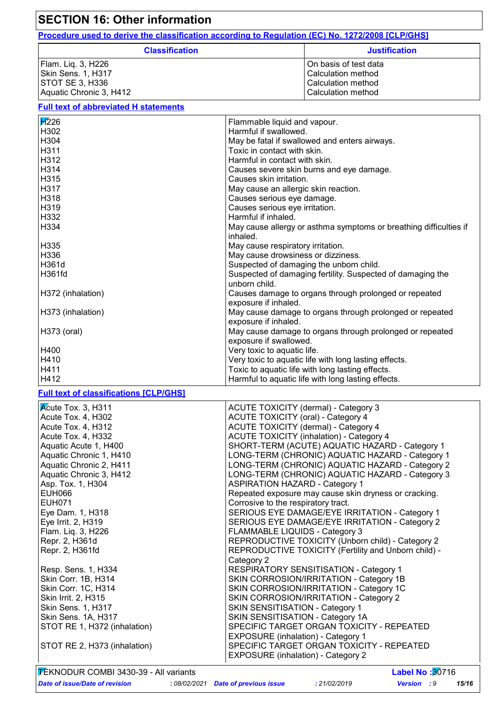## **SECTION 16: Other information Full text of abbreviated H statements Procedure used to derive the classification according to Regulation (EC) No. 1272/2008 [CLP/GHS] Classification Justification** Flam. Liq. 3, H226 **Case Contract Contract Contract Contract Contract Contract Contract Contract Contract Contract Contract Contract Contract Contract Contract Contract Contract Contract Contract Contract Contract Contract** Skin Sens. 1, H317 Calculation method STOT SE 3, H336 Calculation method Aquatic Chronic 3, H412 Calculation method Calculation method **Full text of classifications [CLP/GHS] H**226 **Flammable liquid and vapour.** H302 Harmful if swallowed. H304 May be fatal if swallowed and enters airways. H311 **H311** Toxic in contact with skin. H312 **Harmful in contact with skin.** H314 Causes severe skin burns and eye damage. H315 Causes skin irritation. H317 May cause an allergic skin reaction. H318 Causes serious eye damage. H319 Causes serious eye irritation. H332 Harmful if inhaled. H334 May cause allergy or asthma symptoms or breathing difficulties if inhaled. H335 May cause respiratory irritation. H336 May cause drowsiness or dizziness. H361d **Suspected of damaging the unborn child.** Suspected of damaging the unborn child. H361fd Buspected of damaging fertility. Suspected of damaging the unborn child. H372 (inhalation) Causes damage to organs through prolonged or repeated exposure if inhaled. H373 (inhalation) May cause damage to organs through prolonged or repeated exposure if inhaled. H373 (oral) May cause damage to organs through prolonged or repeated exposure if swallowed. H400 Very toxic to aquatic life. H410 **Very toxic to aquatic life with long lasting effects.** H411 **Toxic to aquatic life with long lasting effects.** H412 Harmful to aquatic life with long lasting effects. Acute Tox. 3, H311 ACUTE TOXICITY (dermal) - Category 3 Acute Tox. 4, H302 ACUTE TOXICITY (oral) - Category 4 Acute Tox. 4, H312 ACUTE TOXICITY (dermal) - Category 4 Acute Tox. 4, H332 Acute Toxic II ACUTE TOXICITY (inhalation) - Category 4 Aquatic Acute 1, H400 SHORT-TERM (ACUTE) AQUATIC HAZARD - Category 1 Aquatic Chronic 1, H410 LONG-TERM (CHRONIC) AQUATIC HAZARD - Category 1 Aquatic Chronic 2, H411 | | LONG-TERM (CHRONIC) AQUATIC HAZARD - Category 2 Aquatic Chronic 3, H412 LONG-TERM (CHRONIC) AQUATIC HAZARD - Category 3 Asp. Tox. 1, H304 **Aspected ASPIRATION HAZARD** - Category 1 EUH066 **Repeated exposure may cause skin dryness or cracking.** Repeated exposure may cause skin dryness or cracking. EUH071 Corrosive to the respiratory tract.

Eye Dam. 1, H318 SERIOUS EYE DAMAGE/EYE IRRITATION - Category 1 Eye Irrit. 2, H319 SERIOUS EYE DAMAGE/EYE IRRITATION - Category 2

Repr. 2, H361d REPRODUCTIVE TOXICITY (Unborn child) - Category 2 Repr. 2, H361fd REPRODUCTIVE TOXICITY (Fertility and Unborn child) -Category 2

STOT RE 1, H372 (inhalation) SPECIFIC TARGET ORGAN TOXICITY - REPEATED

Resp. Sens. 1, H334 RESPIRATORY SENSITISATION - Category 1 Skin Corr. 1B, H314 SKIN CORROSION/IRRITATION - Category 1B Skin Corr. 1C, H314 SKIN CORROSION/IRRITATION - Category 1C Skin Irrit. 2, H315 SKIN CORROSION/IRRITATION - Category 2

STOT RE 2, H373 (inhalation) SPECIFIC TARGET ORGAN TOXICITY - REPEATED EXPOSURE (inhalation) - Category 2 TEKNODUR COMBI 3430-39 - All variants **Label No :**30716

Flam. Liq. 3, H226 FLAMMABLE LIQUIDS - Category 3

Skin Sens. 1, H317 SENSITISATION - Category 1 Skin Sens. 1A, H317 SKIN SENSITISATION - Category 1A

EXPOSURE (inhalation) - Category 1